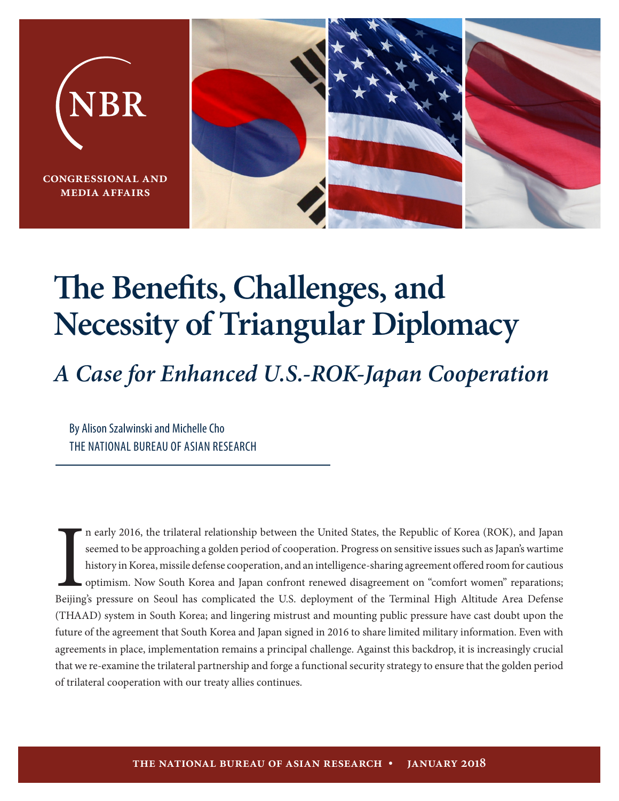

# **The Benefits, Challenges, and Necessity of Triangular Diplomacy**

# *A Case for Enhanced U.S.-ROK-Japan Cooperation*

By Alison Szalwinski and Michelle Cho THE NATIONAL BUREAU OF ASIAN RESEARCH

In early 2016, the trilateral relationship between the United States, the Republic of Korea (ROK), and Japan seemed to be approaching a golden period of cooperation. Progress on sensitive issues such as Japan's wartime his n early 2016, the trilateral relationship between the United States, the Republic of Korea (ROK), and Japan seemed to be approaching a golden period of cooperation. Progress on sensitive issues such as Japan's wartime history in Korea, missile defense cooperation, and an intelligence-sharing agreement offered room for cautious optimism. Now South Korea and Japan confront renewed disagreement on "comfort women" reparations; (THAAD) system in South Korea; and lingering mistrust and mounting public pressure have cast doubt upon the future of the agreement that South Korea and Japan signed in 2016 to share limited military information. Even with agreements in place, implementation remains a principal challenge. Against this backdrop, it is increasingly crucial that we re-examine the trilateral partnership and forge a functional security strategy to ensure that the golden period of trilateral cooperation with our treaty allies continues.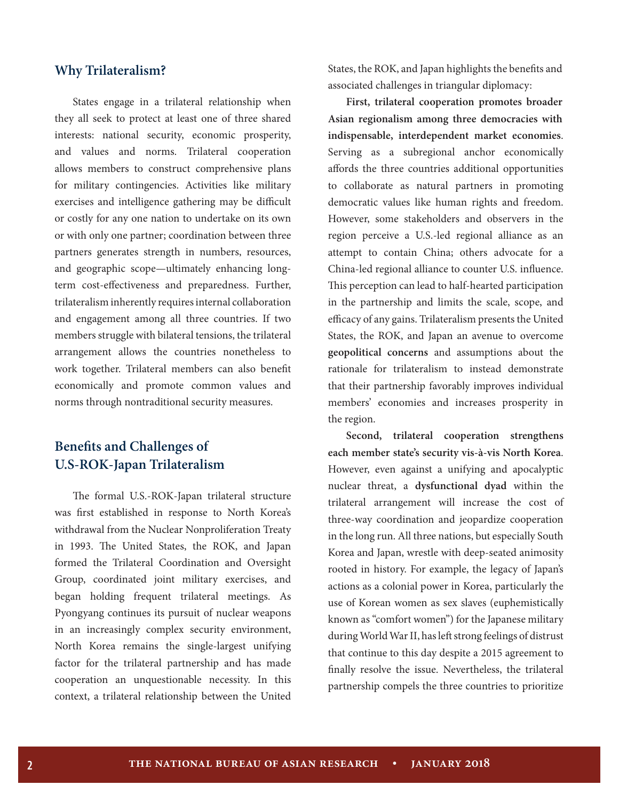#### **Why Trilateralism?**

States engage in a trilateral relationship when they all seek to protect at least one of three shared interests: national security, economic prosperity, and values and norms. Trilateral cooperation allows members to construct comprehensive plans for military contingencies. Activities like military exercises and intelligence gathering may be difficult or costly for any one nation to undertake on its own or with only one partner; coordination between three partners generates strength in numbers, resources, and geographic scope—ultimately enhancing longterm cost-effectiveness and preparedness. Further, trilateralism inherently requires internal collaboration and engagement among all three countries. If two members struggle with bilateral tensions, the trilateral arrangement allows the countries nonetheless to work together. Trilateral members can also benefit economically and promote common values and norms through nontraditional security measures.

# **Benefits and Challenges of U.S-ROK-Japan Trilateralism**

The formal U.S.-ROK-Japan trilateral structure was first established in response to North Korea's withdrawal from the Nuclear Nonproliferation Treaty in 1993. The United States, the ROK, and Japan formed the Trilateral Coordination and Oversight Group, coordinated joint military exercises, and began holding frequent trilateral meetings. As Pyongyang continues its pursuit of nuclear weapons in an increasingly complex security environment, North Korea remains the single-largest unifying factor for the trilateral partnership and has made cooperation an unquestionable necessity. In this context, a trilateral relationship between the United States, the ROK, and Japan highlights the benefits and associated challenges in triangular diplomacy:

**First, trilateral cooperation promotes broader Asian regionalism among three democracies with indispensable, interdependent market economies**. Serving as a subregional anchor economically affords the three countries additional opportunities to collaborate as natural partners in promoting democratic values like human rights and freedom. However, some stakeholders and observers in the region perceive a U.S.-led regional alliance as an attempt to contain China; others advocate for a China-led regional alliance to counter U.S. influence. This perception can lead to half-hearted participation in the partnership and limits the scale, scope, and efficacy of any gains. Trilateralism presents the United States, the ROK, and Japan an avenue to overcome **geopolitical concerns** and assumptions about the rationale for trilateralism to instead demonstrate that their partnership favorably improves individual members' economies and increases prosperity in the region.

**Second, trilateral cooperation strengthens each member state's security vis-à-vis North Korea**. However, even against a unifying and apocalyptic nuclear threat, a **dysfunctional dyad** within the trilateral arrangement will increase the cost of three-way coordination and jeopardize cooperation in the long run. All three nations, but especially South Korea and Japan, wrestle with deep-seated animosity rooted in history. For example, the legacy of Japan's actions as a colonial power in Korea, particularly the use of Korean women as sex slaves (euphemistically known as "comfort women") for the Japanese military during World War II, has left strong feelings of distrust that continue to this day despite a 2015 agreement to finally resolve the issue. Nevertheless, the trilateral partnership compels the three countries to prioritize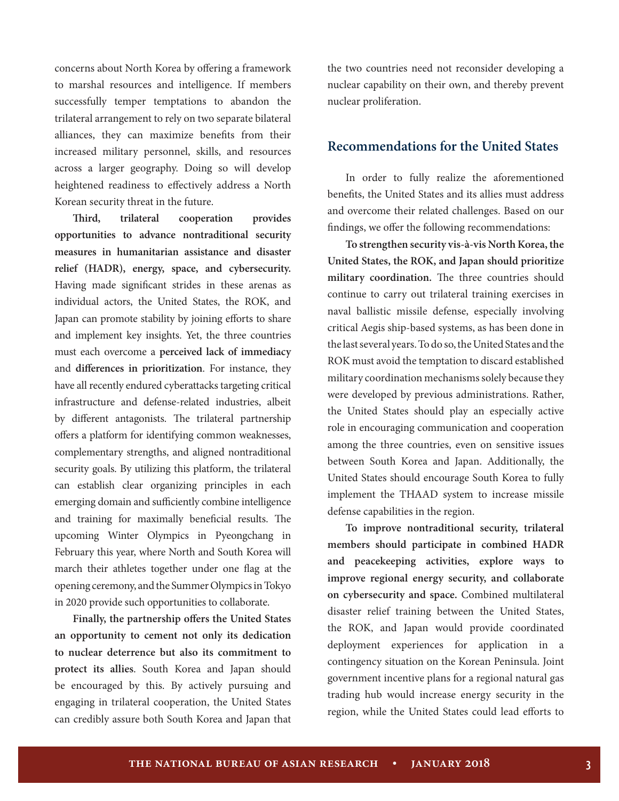concerns about North Korea by offering a framework to marshal resources and intelligence. If members successfully temper temptations to abandon the trilateral arrangement to rely on two separate bilateral alliances, they can maximize benefits from their increased military personnel, skills, and resources across a larger geography. Doing so will develop heightened readiness to effectively address a North Korean security threat in the future.

**Third, trilateral cooperation provides opportunities to advance nontraditional security measures in humanitarian assistance and disaster relief (HADR), energy, space, and cybersecurity.** Having made significant strides in these arenas as individual actors, the United States, the ROK, and Japan can promote stability by joining efforts to share and implement key insights. Yet, the three countries must each overcome a **perceived lack of immediacy** and **differences in prioritization**. For instance, they have all recently endured cyberattacks targeting critical infrastructure and defense-related industries, albeit by different antagonists. The trilateral partnership offers a platform for identifying common weaknesses, complementary strengths, and aligned nontraditional security goals. By utilizing this platform, the trilateral can establish clear organizing principles in each emerging domain and sufficiently combine intelligence and training for maximally beneficial results. The upcoming Winter Olympics in Pyeongchang in February this year, where North and South Korea will march their athletes together under one flag at the opening ceremony, and the Summer Olympics in Tokyo in 2020 provide such opportunities to collaborate.

**Finally, the partnership offers the United States an opportunity to cement not only its dedication to nuclear deterrence but also its commitment to protect its allies**. South Korea and Japan should be encouraged by this. By actively pursuing and engaging in trilateral cooperation, the United States can credibly assure both South Korea and Japan that the two countries need not reconsider developing a nuclear capability on their own, and thereby prevent nuclear proliferation.

### **Recommendations for the United States**

In order to fully realize the aforementioned benefits, the United States and its allies must address and overcome their related challenges. Based on our findings, we offer the following recommendations:

**To strengthen security vis-à-vis North Korea, the United States, the ROK, and Japan should prioritize military coordination.** The three countries should continue to carry out trilateral training exercises in naval ballistic missile defense, especially involving critical Aegis ship-based systems, as has been done in the last several years. To do so, the United States and the ROK must avoid the temptation to discard established military coordination mechanisms solely because they were developed by previous administrations. Rather, the United States should play an especially active role in encouraging communication and cooperation among the three countries, even on sensitive issues between South Korea and Japan. Additionally, the United States should encourage South Korea to fully implement the THAAD system to increase missile defense capabilities in the region.

**To improve nontraditional security, trilateral members should participate in combined HADR and peacekeeping activities, explore ways to improve regional energy security, and collaborate on cybersecurity and space.** Combined multilateral disaster relief training between the United States, the ROK, and Japan would provide coordinated deployment experiences for application in a contingency situation on the Korean Peninsula. Joint government incentive plans for a regional natural gas trading hub would increase energy security in the region, while the United States could lead efforts to